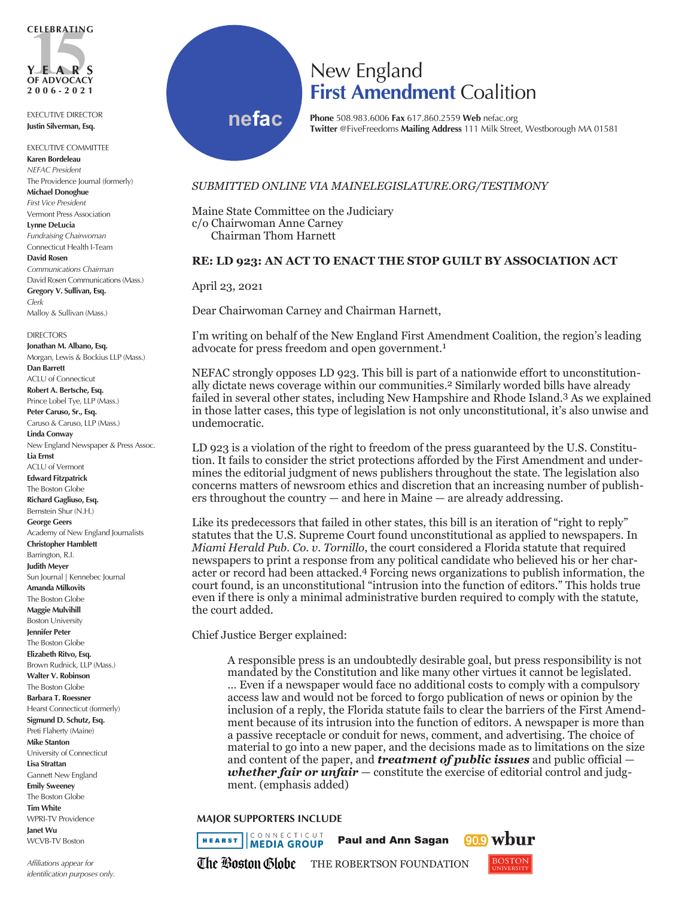

EXECUTIVE DIRECTOR **Justin Silverman, Esq.**

EXECUTIVE COMMITTEE **Karen Bordeleau** *NEFAC President* The Providence Journal (formerly) **Michael Donoghue** *First Vice President* Vermont Press Association **Lynne DeLucia** *Fundraising Chairwoman* Connecticut Health I-Team **David Rosen** *Communications Chairman* David Rosen Communications (Mass.) **Gregory V. Sullivan, Esq.** *Clerk* Malloy & Sullivan (Mass.)

DIRECTORS **Jonathan M. Albano, Esq.** Morgan, Lewis & Bockius LLP (Mass.) **Dan Barrett** ACLU of Connecticut **Robert A. Bertsche, Esq.** Prince Lobel Tye, LLP (Mass.) **Peter Caruso, Sr., Esq.** Caruso & Caruso, LLP (Mass.) **Linda Conway** New England Newspaper & Press Assoc. **Lia Ernst** ACLU of Vermont **Edward Fitzpatrick** The Boston Globe **Richard Gagliuso, Esq.** Bernstein Shur (N.H.) **George Geers** Academy of New England Journalists **Christopher Hamblett** Barrington, R.I. **Judith Meyer** Sun Journal | Kennebec Journal **Amanda Milkovits** The Boston Globe **Maggie Mulvihill** Boston University **Jennifer Peter** The Boston Globe **Elizabeth Ritvo, Esq.** Brown Rudnick, LLP (Mass.) **Walter V. Robinson** The Boston Globe **Barbara T. Roessner** Hearst Connecticut (formerly) **Sigmund D. Schutz, Esq.** Preti Flaherty (Maine) **Mike Stanton** University of Connecticut **Lisa Strattan** Gannett New England **Emily Sweeney** The Boston Globe **Tim White** WPRI-TV Providence **Janet Wu** WCVB-TV Boston

*Affiliations appear for identification purposes only.*

## New England **First Amendment** Coalition

**nefac**

## **Phone** 508.983.6006 **Fax** 617.860.2559 **Web** nefac.org **Twitter** @FiveFreedoms **Mailing Address** 111 Milk Street, Westborough MA 01581

## *SUBMITTED ONLINE VIA MAINELEGISLATURE.ORG/TESTIMONY*

Maine State Committee on the Judiciary c/o Chairwoman Anne Carney Chairman Thom Harnett

## **RE: LD 923: AN ACT TO ENACT THE STOP GUILT BY ASSOCIATION ACT**

April 23, 2021

Dear Chairwoman Carney and Chairman Harnett,

I'm writing on behalf of the New England First Amendment Coalition, the region's leading advocate for press freedom and open government.1

NEFAC strongly opposes LD 923. This bill is part of a nationwide effort to unconstitutionally dictate news coverage within our communities.2 Similarly worded bills have already failed in several other states, including New Hampshire and Rhode Island.3 As we explained in those latter cases, this type of legislation is not only unconstitutional, it's also unwise and undemocratic.

LD 923 is a violation of the right to freedom of the press guaranteed by the U.S. Constitution. It fails to consider the strict protections afforded by the First Amendment and undermines the editorial judgment of news publishers throughout the state. The legislation also concerns matters of newsroom ethics and discretion that an increasing number of publishers throughout the country — and here in Maine — are already addressing.

Like its predecessors that failed in other states, this bill is an iteration of "right to reply" statutes that the U.S. Supreme Court found unconstitutional as applied to newspapers. In *Miami Herald Pub. Co. v. Tornillo*, the court considered a Florida statute that required newspapers to print a response from any political candidate who believed his or her character or record had been attacked.4 Forcing news organizations to publish information, the court found, is an unconstitutional "intrusion into the function of editors." This holds true even if there is only a minimal administrative burden required to comply with the statute, the court added.

Chief Justice Berger explained:

A responsible press is an undoubtedly desirable goal, but press responsibility is not mandated by the Constitution and like many other virtues it cannot be legislated. … Even if a newspaper would face no additional costs to comply with a compulsory access law and would not be forced to forgo publication of news or opinion by the inclusion of a reply, the Florida statute fails to clear the barriers of the First Amendment because of its intrusion into the function of editors. A newspaper is more than a passive receptacle or conduit for news, comment, and advertising. The choice of material to go into a new paper, and the decisions made as to limitations on the size and content of the paper, and *treatment of public issues* and public official *whether fair or unfair* — constitute the exercise of editorial control and judgment. (emphasis added)

**MAJOR SUPPORTERS INCLUDE**

CONNECTICUT **HEARST MEDIA GROUP** Paul and Ann Sagan  $(90.9)$ The Boston Globe THE ROBERTSON FOUNDATION